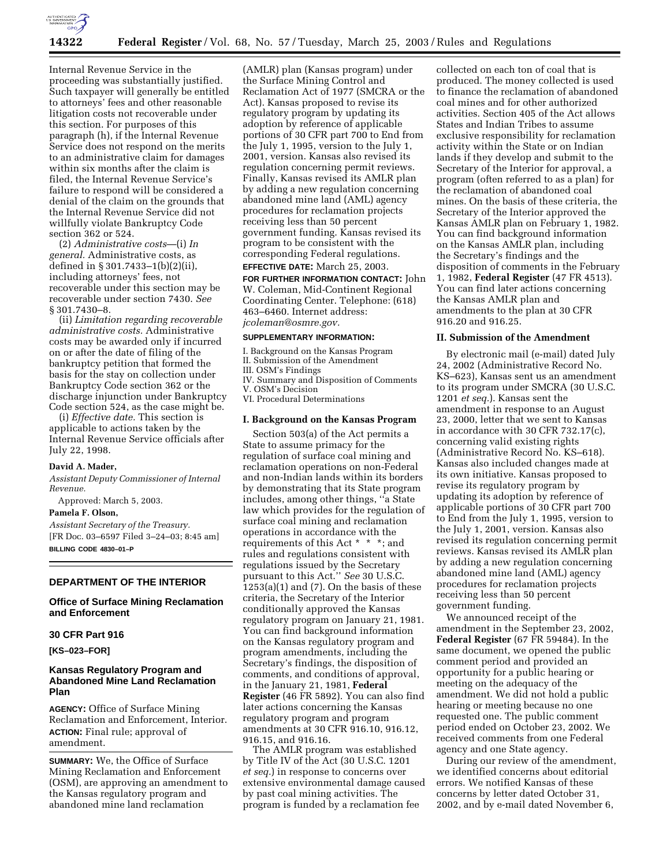

Internal Revenue Service in the proceeding was substantially justified. Such taxpayer will generally be entitled to attorneys' fees and other reasonable litigation costs not recoverable under this section. For purposes of this paragraph (h), if the Internal Revenue Service does not respond on the merits to an administrative claim for damages within six months after the claim is filed, the Internal Revenue Service's failure to respond will be considered a denial of the claim on the grounds that the Internal Revenue Service did not willfully violate Bankruptcy Code section 362 or 524.

(2) *Administrative costs*—(i) *In general.* Administrative costs, as defined in § 301.7433–1(b)(2)(ii), including attorneys' fees, not recoverable under this section may be recoverable under section 7430. *See* § 301.7430–8.

(ii) *Limitation regarding recoverable administrative costs.* Administrative costs may be awarded only if incurred on or after the date of filing of the bankruptcy petition that formed the basis for the stay on collection under Bankruptcy Code section 362 or the discharge injunction under Bankruptcy Code section 524, as the case might be.

(i) *Effective date.* This section is applicable to actions taken by the Internal Revenue Service officials after July 22, 1998.

## **David A. Mader,**

*Assistant Deputy Commissioner of Internal Revenue.* 

Approved: March 5, 2003.

### **Pamela F. Olson,**

*Assistant Secretary of the Treasury.* [FR Doc. 03–6597 Filed 3–24–03; 8:45 am] **BILLING CODE 4830–01–P**

# **DEPARTMENT OF THE INTERIOR**

# **Office of Surface Mining Reclamation and Enforcement**

## **30 CFR Part 916**

**[KS–023–FOR]** 

# **Kansas Regulatory Program and Abandoned Mine Land Reclamation Plan**

**AGENCY:** Office of Surface Mining Reclamation and Enforcement, Interior. **ACTION:** Final rule; approval of amendment.

**SUMMARY:** We, the Office of Surface Mining Reclamation and Enforcement (OSM), are approving an amendment to the Kansas regulatory program and abandoned mine land reclamation

(AMLR) plan (Kansas program) under the Surface Mining Control and Reclamation Act of 1977 (SMCRA or the Act). Kansas proposed to revise its regulatory program by updating its adoption by reference of applicable portions of 30 CFR part 700 to End from the July 1, 1995, version to the July 1, 2001, version. Kansas also revised its regulation concerning permit reviews. Finally, Kansas revised its AMLR plan by adding a new regulation concerning abandoned mine land (AML) agency procedures for reclamation projects receiving less than 50 percent government funding. Kansas revised its program to be consistent with the corresponding Federal regulations. **EFFECTIVE DATE:** March 25, 2003.

**FOR FURTHER INFORMATION CONTACT:** John W. Coleman, Mid-Continent Regional Coordinating Center. Telephone: (618) 463–6460. Internet address: *jcoleman@osmre.gov.*

# **SUPPLEMENTARY INFORMATION:**

I. Background on the Kansas Program II. Submission of the Amendment

III. OSM's Findings

IV. Summary and Disposition of Comments V. OSM's Decision

VI. Procedural Determinations

## **I. Background on the Kansas Program**

Section 503(a) of the Act permits a State to assume primacy for the regulation of surface coal mining and reclamation operations on non-Federal and non-Indian lands within its borders by demonstrating that its State program includes, among other things, ''a State law which provides for the regulation of surface coal mining and reclamation operations in accordance with the requirements of this Act \* \* \*; and rules and regulations consistent with regulations issued by the Secretary pursuant to this Act.'' *See* 30 U.S.C.  $1253(a)(1)$  and  $(7)$ . On the basis of these criteria, the Secretary of the Interior conditionally approved the Kansas regulatory program on January 21, 1981. You can find background information on the Kansas regulatory program and program amendments, including the Secretary's findings, the disposition of comments, and conditions of approval, in the January 21, 1981, **Federal Register** (46 FR 5892). You can also find later actions concerning the Kansas regulatory program and program amendments at 30 CFR 916.10, 916.12, 916.15, and 916.16.

The AMLR program was established by Title IV of the Act (30 U.S.C. 1201 *et seq.*) in response to concerns over extensive environmental damage caused by past coal mining activities. The program is funded by a reclamation fee

collected on each ton of coal that is produced. The money collected is used to finance the reclamation of abandoned coal mines and for other authorized activities. Section 405 of the Act allows States and Indian Tribes to assume exclusive responsibility for reclamation activity within the State or on Indian lands if they develop and submit to the Secretary of the Interior for approval, a program (often referred to as a plan) for the reclamation of abandoned coal mines. On the basis of these criteria, the Secretary of the Interior approved the Kansas AMLR plan on February 1, 1982. You can find background information on the Kansas AMLR plan, including the Secretary's findings and the disposition of comments in the February 1, 1982, **Federal Register** (47 FR 4513). You can find later actions concerning the Kansas AMLR plan and amendments to the plan at 30 CFR 916.20 and 916.25.

## **II. Submission of the Amendment**

By electronic mail (e-mail) dated July 24, 2002 (Administrative Record No. KS–623), Kansas sent us an amendment to its program under SMCRA (30 U.S.C. 1201 *et seq.*). Kansas sent the amendment in response to an August 23, 2000, letter that we sent to Kansas in accordance with 30 CFR 732.17(c), concerning valid existing rights (Administrative Record No. KS–618). Kansas also included changes made at its own initiative. Kansas proposed to revise its regulatory program by updating its adoption by reference of applicable portions of 30 CFR part 700 to End from the July 1, 1995, version to the July 1, 2001, version. Kansas also revised its regulation concerning permit reviews. Kansas revised its AMLR plan by adding a new regulation concerning abandoned mine land (AML) agency procedures for reclamation projects receiving less than 50 percent government funding.

We announced receipt of the amendment in the September 23, 2002, **Federal Register** (67 FR 59484). In the same document, we opened the public comment period and provided an opportunity for a public hearing or meeting on the adequacy of the amendment. We did not hold a public hearing or meeting because no one requested one. The public comment period ended on October 23, 2002. We received comments from one Federal agency and one State agency.

During our review of the amendment, we identified concerns about editorial errors. We notified Kansas of these concerns by letter dated October 31, 2002, and by e-mail dated November 6,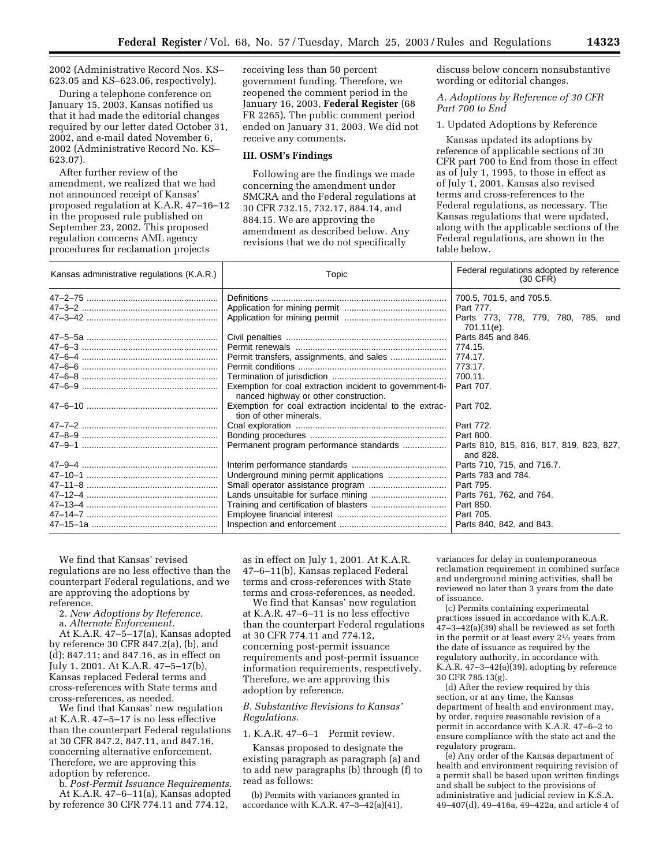2002 (Administrative Record Nos. KS– 623.05 and KS–623.06, respectively).

During a telephone conference on January 15, 2003, Kansas notified us that it had made the editorial changes required by our letter dated October 31, 2002, and e-mail dated November 6, 2002 (Administrative Record No. KS– 623.07).

After further review of the amendment, we realized that we had not announced receipt of Kansas' proposed regulation at K.A.R. 47–16–12 in the proposed rule published on September 23, 2002. This proposed regulation concerns AML agency procedures for reclamation projects

receiving less than 50 percent government funding. Therefore, we reopened the comment period in the January 16, 2003, **Federal Register** (68 FR 2265). The public comment period ended on January 31, 2003. We did not receive any comments.

## **III. OSM's Findings**

Following are the findings we made concerning the amendment under SMCRA and the Federal regulations at 30 CFR 732.15, 732.17, 884.14, and 884.15. We are approving the amendment as described below. Any revisions that we do not specifically

discuss below concern nonsubstantive wording or editorial changes.

# *A. Adoptions by Reference of 30 CFR Part 700 to End*

1. Updated Adoptions by Reference

Kansas updated its adoptions by reference of applicable sections of 30 CFR part 700 to End from those in effect as of July 1, 1995, to those in effect as of July 1, 2001. Kansas also revised terms and cross-references to the Federal regulations, as necessary. The Kansas regulations that were updated, along with the applicable sections of the Federal regulations, are shown in the table below.

| Kansas administrative regulations (K.A.R.) | Topic                                                                                             | Federal regulations adopted by reference<br>$(30 \text{ CFR})$ |  |  |
|--------------------------------------------|---------------------------------------------------------------------------------------------------|----------------------------------------------------------------|--|--|
|                                            |                                                                                                   | 700.5, 701.5, and 705.5.                                       |  |  |
|                                            |                                                                                                   | Part 777.                                                      |  |  |
|                                            |                                                                                                   | Parts 773, 778, 779, 780, 785, and<br>701.11(e).               |  |  |
|                                            |                                                                                                   | Parts 845 and 846.                                             |  |  |
|                                            |                                                                                                   | 774.15.                                                        |  |  |
|                                            |                                                                                                   | 774.17.                                                        |  |  |
|                                            |                                                                                                   | 773.17.                                                        |  |  |
|                                            |                                                                                                   | 700.11.                                                        |  |  |
|                                            | Exemption for coal extraction incident to government-fi-<br>nanced highway or other construction. | Part 707.                                                      |  |  |
|                                            | Exemption for coal extraction incidental to the extrac-<br>tion of other minerals.                | Part 702.                                                      |  |  |
|                                            |                                                                                                   | Part 772.                                                      |  |  |
|                                            |                                                                                                   | Part 800.                                                      |  |  |
|                                            | Permanent program performance standards                                                           | Parts 810, 815, 816, 817, 819, 823, 827,<br>and 828.           |  |  |
|                                            |                                                                                                   | Parts 710, 715, and 716.7.                                     |  |  |
|                                            | Underground mining permit applications                                                            | Parts 783 and 784.                                             |  |  |
|                                            |                                                                                                   | Part 795.                                                      |  |  |
|                                            |                                                                                                   | Parts 761, 762, and 764.                                       |  |  |
|                                            |                                                                                                   | Part 850.                                                      |  |  |
|                                            |                                                                                                   | Part 705.                                                      |  |  |
|                                            |                                                                                                   | Parts 840, 842, and 843.                                       |  |  |

We find that Kansas' revised regulations are no less effective than the counterpart Federal regulations, and we are approving the adoptions by reference.

2. *New Adoptions by Reference.*

a. *Alternate Enforcement.*

At K.A.R. 47–5–17(a), Kansas adopted by reference 30 CFR 847.2(a), (b), and (d); 847.11; and 847.16, as in effect on July 1, 2001. At K.A.R. 47–5–17(b), Kansas replaced Federal terms and cross-references with State terms and cross-references, as needed.

We find that Kansas' new regulation at K.A.R. 47–5–17 is no less effective than the counterpart Federal regulations at 30 CFR 847.2, 847.11, and 847.16, concerning alternative enforcement. Therefore, we are approving this adoption by reference.

b. *Post-Permit Issuance Requirements.* At K.A.R. 47–6–11(a), Kansas adopted by reference 30 CFR 774.11 and 774.12,

as in effect on July 1, 2001. At K.A.R. 47–6–11(b), Kansas replaced Federal terms and cross-references with State terms and cross-references, as needed.

We find that Kansas' new regulation at K.A.R. 47–6–11 is no less effective than the counterpart Federal regulations at 30 CFR 774.11 and 774.12, concerning post-permit issuance requirements and post-permit issuance information requirements, respectively. Therefore, we are approving this adoption by reference.

## *B. Substantive Revisions to Kansas' Regulations.*

1. K.A.R. 47–6–1 Permit review.

Kansas proposed to designate the existing paragraph as paragraph (a) and to add new paragraphs (b) through (f) to read as follows:

(b) Permits with variances granted in accordance with K.A.R.  $47-3-42(a)(41)$ ,

variances for delay in contemporaneous reclamation requirement in combined surface and underground mining activities, shall be reviewed no later than 3 years from the date of issuance.

(c) Permits containing experimental practices issued in accordance with K.A.R. 47–3–42(a)(39) shall be reviewed as set forth in the permit or at least every 21⁄2 years from the date of issuance as required by the regulatory authority, in accordance with K.A.R.  $47 - 3 - 42(a)(39)$ , adopting by reference 30 CFR 785.13(g).

(d) After the review required by this section, or at any time, the Kansas department of health and environment may, by order, require reasonable revision of a permit in accordance with K.A.R. 47–6–2 to ensure compliance with the state act and the regulatory program.

(e) Any order of the Kansas department of health and environment requiring revision of a permit shall be based upon written findings and shall be subject to the provisions of administrative and judicial review in K.S.A. 49–407(d), 49–416a, 49–422a, and article 4 of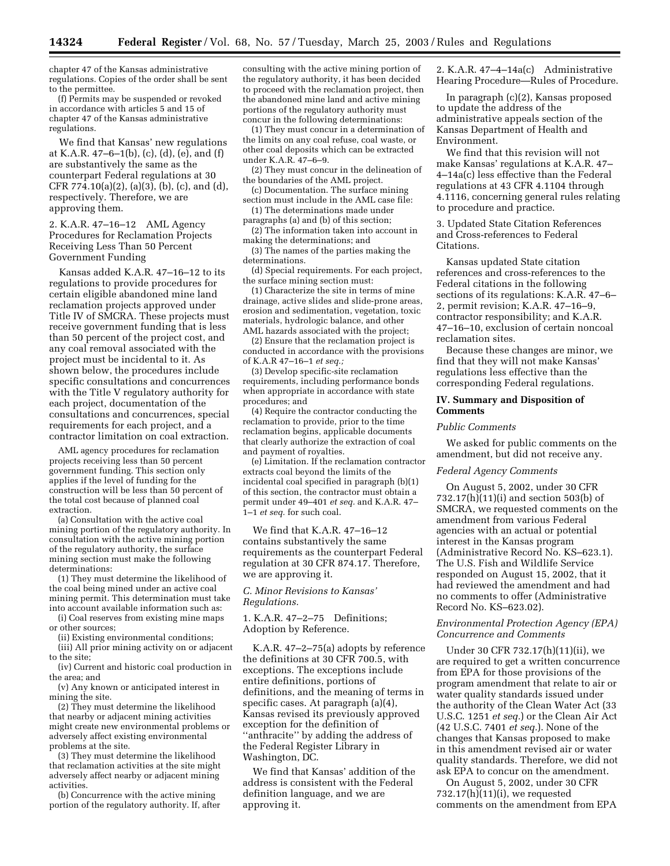chapter 47 of the Kansas administrative regulations. Copies of the order shall be sent to the permittee.

(f) Permits may be suspended or revoked in accordance with articles 5 and 15 of chapter 47 of the Kansas administrative regulations.

We find that Kansas' new regulations at K.A.R.  $47-6-1(b)$ , (c), (d), (e), and (f) are substantively the same as the counterpart Federal regulations at 30 CFR 774.10(a)(2), (a)(3), (b), (c), and (d), respectively. Therefore, we are approving them.

2. K.A.R. 47–16–12 AML Agency Procedures for Reclamation Projects Receiving Less Than 50 Percent Government Funding

Kansas added K.A.R. 47–16–12 to its regulations to provide procedures for certain eligible abandoned mine land reclamation projects approved under Title IV of SMCRA. These projects must receive government funding that is less than 50 percent of the project cost, and any coal removal associated with the project must be incidental to it. As shown below, the procedures include specific consultations and concurrences with the Title V regulatory authority for each project, documentation of the consultations and concurrences, special requirements for each project, and a contractor limitation on coal extraction.

AML agency procedures for reclamation projects receiving less than 50 percent government funding. This section only applies if the level of funding for the construction will be less than 50 percent of the total cost because of planned coal extraction.

(a) Consultation with the active coal mining portion of the regulatory authority. In consultation with the active mining portion of the regulatory authority, the surface mining section must make the following determinations:

(1) They must determine the likelihood of the coal being mined under an active coal mining permit. This determination must take into account available information such as:

(i) Coal reserves from existing mine maps or other sources;

(ii) Existing environmental conditions;

(iii) All prior mining activity on or adjacent to the site;

(iv) Current and historic coal production in the area; and

(v) Any known or anticipated interest in mining the site.

(2) They must determine the likelihood that nearby or adjacent mining activities might create new environmental problems or adversely affect existing environmental problems at the site.

(3) They must determine the likelihood that reclamation activities at the site might adversely affect nearby or adjacent mining activities.

(b) Concurrence with the active mining portion of the regulatory authority. If, after consulting with the active mining portion of the regulatory authority, it has been decided to proceed with the reclamation project, then the abandoned mine land and active mining portions of the regulatory authority must concur in the following determinations:

(1) They must concur in a determination of the limits on any coal refuse, coal waste, or other coal deposits which can be extracted under K.A.R. 47–6–9.

(2) They must concur in the delineation of the boundaries of the AML project.

(c) Documentation. The surface mining section must include in the AML case file:

(1) The determinations made under paragraphs (a) and (b) of this section;

(2) The information taken into account in making the determinations; and

(3) The names of the parties making the determinations.

(d) Special requirements. For each project, the surface mining section must:

(1) Characterize the site in terms of mine drainage, active slides and slide-prone areas, erosion and sedimentation, vegetation, toxic materials, hydrologic balance, and other AML hazards associated with the project;

(2) Ensure that the reclamation project is conducted in accordance with the provisions of K.A.R 47–16–1 *et seq.;*

(3) Develop specific-site reclamation requirements, including performance bonds when appropriate in accordance with state procedures; and

(4) Require the contractor conducting the reclamation to provide, prior to the time reclamation begins, applicable documents that clearly authorize the extraction of coal and payment of royalties.

(e) Limitation. If the reclamation contractor extracts coal beyond the limits of the incidental coal specified in paragraph (b)(1) of this section, the contractor must obtain a permit under 49–401 *et seq.* and K.A.R. 47– 1–1 *et seq.* for such coal.

We find that K.A.R. 47–16–12 contains substantively the same requirements as the counterpart Federal regulation at 30 CFR 874.17. Therefore, we are approving it.

# *C. Minor Revisions to Kansas' Regulations.*

1. K.A.R. 47–2–75 Definitions; Adoption by Reference.

K.A.R. 47–2–75(a) adopts by reference the definitions at 30 CFR 700.5, with exceptions. The exceptions include entire definitions, portions of definitions, and the meaning of terms in specific cases. At paragraph (a)(4), Kansas revised its previously approved exception for the definition of ''anthracite'' by adding the address of the Federal Register Library in Washington, DC.

We find that Kansas' addition of the address is consistent with the Federal definition language, and we are approving it.

2. K.A.R. 47–4–14a(c) Administrative Hearing Procedure—Rules of Procedure.

In paragraph (c)(2), Kansas proposed to update the address of the administrative appeals section of the Kansas Department of Health and Environment.

We find that this revision will not make Kansas' regulations at K.A.R. 47– 4–14a(c) less effective than the Federal regulations at 43 CFR 4.1104 through 4.1116, concerning general rules relating to procedure and practice.

3. Updated State Citation References and Cross-references to Federal Citations.

Kansas updated State citation references and cross-references to the Federal citations in the following sections of its regulations: K.A.R. 47–6– 2, permit revision; K.A.R. 47–16–9, contractor responsibility; and K.A.R. 47–16–10, exclusion of certain noncoal reclamation sites.

Because these changes are minor, we find that they will not make Kansas' regulations less effective than the corresponding Federal regulations.

## **IV. Summary and Disposition of Comments**

## *Public Comments*

We asked for public comments on the amendment, but did not receive any.

## *Federal Agency Comments*

On August 5, 2002, under 30 CFR 732.17(h)(11)(i) and section 503(b) of SMCRA, we requested comments on the amendment from various Federal agencies with an actual or potential interest in the Kansas program (Administrative Record No. KS–623.1). The U.S. Fish and Wildlife Service responded on August 15, 2002, that it had reviewed the amendment and had no comments to offer (Administrative Record No. KS–623.02).

# *Environmental Protection Agency (EPA) Concurrence and Comments*

Under 30 CFR 732.17(h)(11)(ii), we are required to get a written concurrence from EPA for those provisions of the program amendment that relate to air or water quality standards issued under the authority of the Clean Water Act (33 U.S.C. 1251 *et seq.*) or the Clean Air Act (42 U.S.C. 7401 *et seq.*). None of the changes that Kansas proposed to make in this amendment revised air or water quality standards. Therefore, we did not ask EPA to concur on the amendment.

On August 5, 2002, under 30 CFR 732.17(h)(11)(i), we requested comments on the amendment from EPA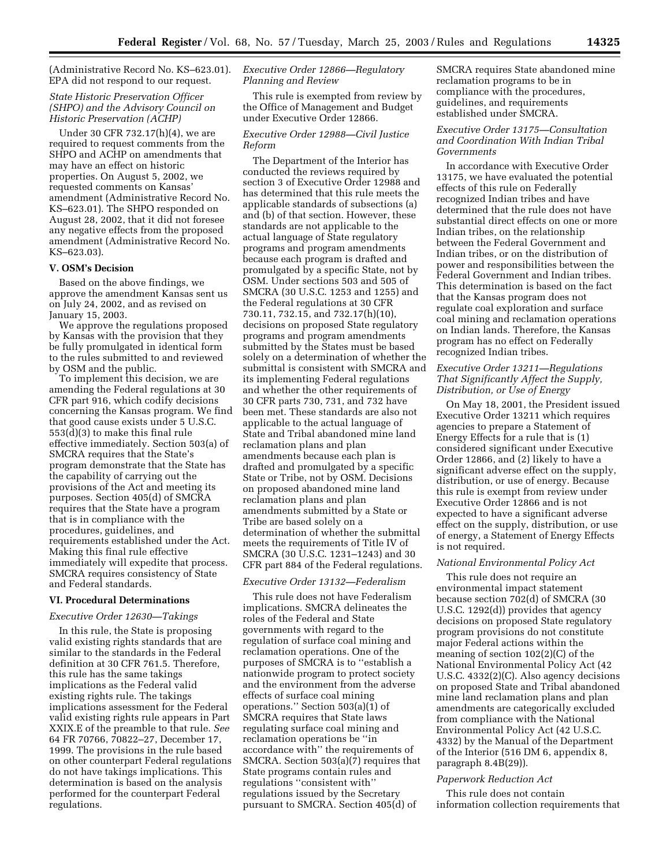(Administrative Record No. KS–623.01). EPA did not respond to our request.

# *State Historic Preservation Officer (SHPO) and the Advisory Council on Historic Preservation (ACHP)*

Under 30 CFR 732.17(h)(4), we are required to request comments from the SHPO and ACHP on amendments that may have an effect on historic properties. On August 5, 2002, we requested comments on Kansas' amendment (Administrative Record No. KS–623.01). The SHPO responded on August 28, 2002, that it did not foresee any negative effects from the proposed amendment (Administrative Record No. KS–623.03).

## **V. OSM's Decision**

Based on the above findings, we approve the amendment Kansas sent us on July 24, 2002, and as revised on January 15, 2003.

We approve the regulations proposed by Kansas with the provision that they be fully promulgated in identical form to the rules submitted to and reviewed by OSM and the public.

To implement this decision, we are amending the Federal regulations at 30 CFR part 916, which codify decisions concerning the Kansas program. We find that good cause exists under 5 U.S.C. 553(d)(3) to make this final rule effective immediately. Section 503(a) of SMCRA requires that the State's program demonstrate that the State has the capability of carrying out the provisions of the Act and meeting its purposes. Section 405(d) of SMCRA requires that the State have a program that is in compliance with the procedures, guidelines, and requirements established under the Act. Making this final rule effective immediately will expedite that process. SMCRA requires consistency of State and Federal standards.

## **VI. Procedural Determinations**

#### *Executive Order 12630—Takings*

In this rule, the State is proposing valid existing rights standards that are similar to the standards in the Federal definition at 30 CFR 761.5. Therefore, this rule has the same takings implications as the Federal valid existing rights rule. The takings implications assessment for the Federal valid existing rights rule appears in Part XXIX.E of the preamble to that rule. *See* 64 FR 70766, 70822–27, December 17, 1999. The provisions in the rule based on other counterpart Federal regulations do not have takings implications. This determination is based on the analysis performed for the counterpart Federal regulations.

# *Executive Order 12866—Regulatory Planning and Review*

This rule is exempted from review by the Office of Management and Budget under Executive Order 12866.

## *Executive Order 12988—Civil Justice Reform*

The Department of the Interior has conducted the reviews required by section 3 of Executive Order 12988 and has determined that this rule meets the applicable standards of subsections (a) and (b) of that section. However, these standards are not applicable to the actual language of State regulatory programs and program amendments because each program is drafted and promulgated by a specific State, not by OSM. Under sections 503 and 505 of SMCRA (30 U.S.C. 1253 and 1255) and the Federal regulations at 30 CFR 730.11, 732.15, and 732.17(h)(10), decisions on proposed State regulatory programs and program amendments submitted by the States must be based solely on a determination of whether the submittal is consistent with SMCRA and its implementing Federal regulations and whether the other requirements of 30 CFR parts 730, 731, and 732 have been met. These standards are also not applicable to the actual language of State and Tribal abandoned mine land reclamation plans and plan amendments because each plan is drafted and promulgated by a specific State or Tribe, not by OSM. Decisions on proposed abandoned mine land reclamation plans and plan amendments submitted by a State or Tribe are based solely on a determination of whether the submittal meets the requirements of Title IV of SMCRA (30 U.S.C. 1231–1243) and 30 CFR part 884 of the Federal regulations.

# *Executive Order 13132—Federalism*

This rule does not have Federalism implications. SMCRA delineates the roles of the Federal and State governments with regard to the regulation of surface coal mining and reclamation operations. One of the purposes of SMCRA is to ''establish a nationwide program to protect society and the environment from the adverse effects of surface coal mining operations.'' Section 503(a)(1) of SMCRA requires that State laws regulating surface coal mining and reclamation operations be ''in accordance with'' the requirements of SMCRA. Section 503(a)(7) requires that State programs contain rules and regulations ''consistent with'' regulations issued by the Secretary pursuant to SMCRA. Section 405(d) of

SMCRA requires State abandoned mine reclamation programs to be in compliance with the procedures, guidelines, and requirements established under SMCRA.

# *Executive Order 13175—Consultation and Coordination With Indian Tribal Governments*

In accordance with Executive Order 13175, we have evaluated the potential effects of this rule on Federally recognized Indian tribes and have determined that the rule does not have substantial direct effects on one or more Indian tribes, on the relationship between the Federal Government and Indian tribes, or on the distribution of power and responsibilities between the Federal Government and Indian tribes. This determination is based on the fact that the Kansas program does not regulate coal exploration and surface coal mining and reclamation operations on Indian lands. Therefore, the Kansas program has no effect on Federally recognized Indian tribes.

# *Executive Order 13211—Regulations That Significantly Affect the Supply, Distribution, or Use of Energy*

On May 18, 2001, the President issued Executive Order 13211 which requires agencies to prepare a Statement of Energy Effects for a rule that is (1) considered significant under Executive Order 12866, and (2) likely to have a significant adverse effect on the supply, distribution, or use of energy. Because this rule is exempt from review under Executive Order 12866 and is not expected to have a significant adverse effect on the supply, distribution, or use of energy, a Statement of Energy Effects is not required.

#### *National Environmental Policy Act*

This rule does not require an environmental impact statement because section 702(d) of SMCRA (30 U.S.C. 1292(d)) provides that agency decisions on proposed State regulatory program provisions do not constitute major Federal actions within the meaning of section 102(2)(C) of the National Environmental Policy Act (42 U.S.C. 4332(2)(C). Also agency decisions on proposed State and Tribal abandoned mine land reclamation plans and plan amendments are categorically excluded from compliance with the National Environmental Policy Act (42 U.S.C. 4332) by the Manual of the Department of the Interior (516 DM 6, appendix 8, paragraph 8.4B(29)).

## *Paperwork Reduction Act*

This rule does not contain information collection requirements that